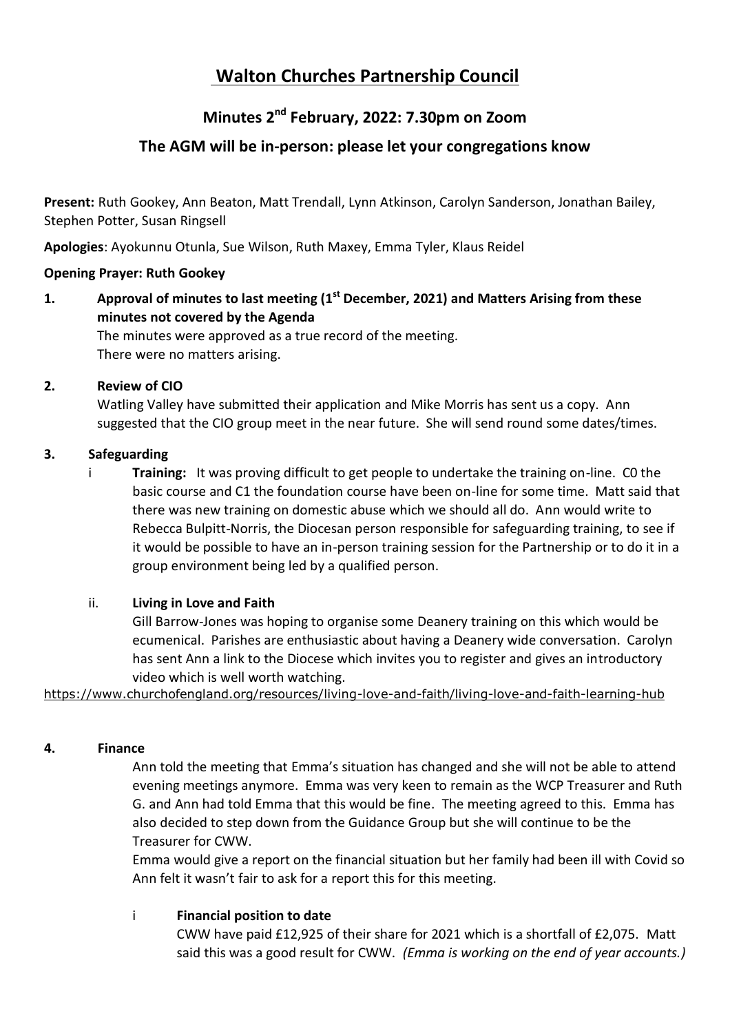# **Walton Churches Partnership Council**

# **Minutes 2nd February, 2022: 7.30pm on Zoom**

# **The AGM will be in-person: please let your congregations know**

**Present:** Ruth Gookey, Ann Beaton, Matt Trendall, Lynn Atkinson, Carolyn Sanderson, Jonathan Bailey, Stephen Potter, Susan Ringsell

**Apologies**: Ayokunnu Otunla, Sue Wilson, Ruth Maxey, Emma Tyler, Klaus Reidel

#### **Opening Prayer: Ruth Gookey**

# **1. Approval of minutes to last meeting (1st December, 2021) and Matters Arising from these minutes not covered by the Agenda**

The minutes were approved as a true record of the meeting. There were no matters arising.

## **2. Review of CIO**

Watling Valley have submitted their application and Mike Morris has sent us a copy. Ann suggested that the CIO group meet in the near future. She will send round some dates/times.

## **3. Safeguarding**

i **Training:** It was proving difficult to get people to undertake the training on-line. C0 the basic course and C1 the foundation course have been on-line for some time. Matt said that there was new training on domestic abuse which we should all do. Ann would write to Rebecca Bulpitt-Norris, the Diocesan person responsible for safeguarding training, to see if it would be possible to have an in-person training session for the Partnership or to do it in a group environment being led by a qualified person.

#### ii. **Living in Love and Faith**

Gill Barrow-Jones was hoping to organise some Deanery training on this which would be ecumenical. Parishes are enthusiastic about having a Deanery wide conversation. Carolyn has sent Ann a link to the Diocese which invites you to register and gives an introductory video which is well worth watching.

<https://www.churchofengland.org/resources/living-love-and-faith/living-love-and-faith-learning-hub>

#### **4. Finance**

Ann told the meeting that Emma's situation has changed and she will not be able to attend evening meetings anymore. Emma was very keen to remain as the WCP Treasurer and Ruth G. and Ann had told Emma that this would be fine. The meeting agreed to this. Emma has also decided to step down from the Guidance Group but she will continue to be the Treasurer for CWW.

Emma would give a report on the financial situation but her family had been ill with Covid so Ann felt it wasn't fair to ask for a report this for this meeting.

#### i **Financial position to date**

CWW have paid £12,925 of their share for 2021 which is a shortfall of £2,075. Matt said this was a good result for CWW. *(Emma is working on the end of year accounts.)*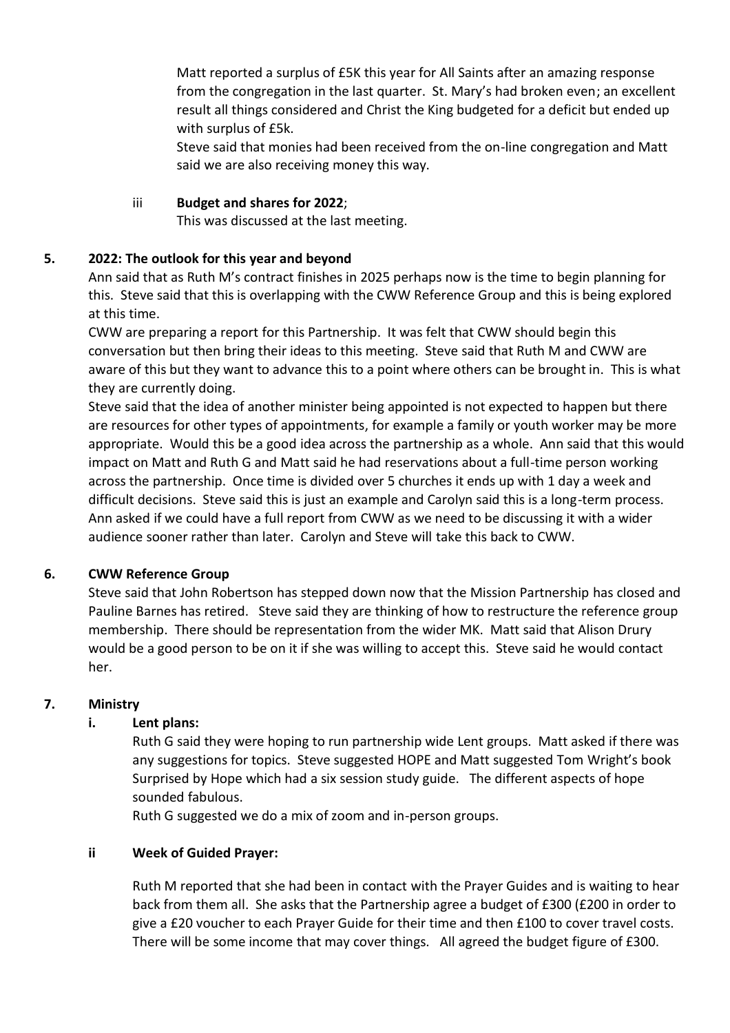Matt reported a surplus of £5K this year for All Saints after an amazing response from the congregation in the last quarter. St. Mary's had broken even; an excellent result all things considered and Christ the King budgeted for a deficit but ended up with surplus of £5k.

Steve said that monies had been received from the on-line congregation and Matt said we are also receiving money this way.

#### iii **Budget and shares for 2022**;

This was discussed at the last meeting.

#### **5. 2022: The outlook for this year and beyond**

Ann said that as Ruth M's contract finishes in 2025 perhaps now is the time to begin planning for this. Steve said that this is overlapping with the CWW Reference Group and this is being explored at this time.

CWW are preparing a report for this Partnership. It was felt that CWW should begin this conversation but then bring their ideas to this meeting. Steve said that Ruth M and CWW are aware of this but they want to advance this to a point where others can be brought in. This is what they are currently doing.

Steve said that the idea of another minister being appointed is not expected to happen but there are resources for other types of appointments, for example a family or youth worker may be more appropriate. Would this be a good idea across the partnership as a whole. Ann said that this would impact on Matt and Ruth G and Matt said he had reservations about a full-time person working across the partnership. Once time is divided over 5 churches it ends up with 1 day a week and difficult decisions. Steve said this is just an example and Carolyn said this is a long-term process. Ann asked if we could have a full report from CWW as we need to be discussing it with a wider audience sooner rather than later. Carolyn and Steve will take this back to CWW.

#### **6. CWW Reference Group**

Steve said that John Robertson has stepped down now that the Mission Partnership has closed and Pauline Barnes has retired. Steve said they are thinking of how to restructure the reference group membership. There should be representation from the wider MK. Matt said that Alison Drury would be a good person to be on it if she was willing to accept this. Steve said he would contact her.

#### **7. Ministry**

#### **i. Lent plans:**

Ruth G said they were hoping to run partnership wide Lent groups. Matt asked if there was any suggestions for topics. Steve suggested HOPE and Matt suggested Tom Wright's book Surprised by Hope which had a six session study guide. The different aspects of hope sounded fabulous.

Ruth G suggested we do a mix of zoom and in-person groups.

#### **ii Week of Guided Prayer:**

Ruth M reported that she had been in contact with the Prayer Guides and is waiting to hear back from them all. She asks that the Partnership agree a budget of £300 (£200 in order to give a £20 voucher to each Prayer Guide for their time and then £100 to cover travel costs. There will be some income that may cover things. All agreed the budget figure of £300.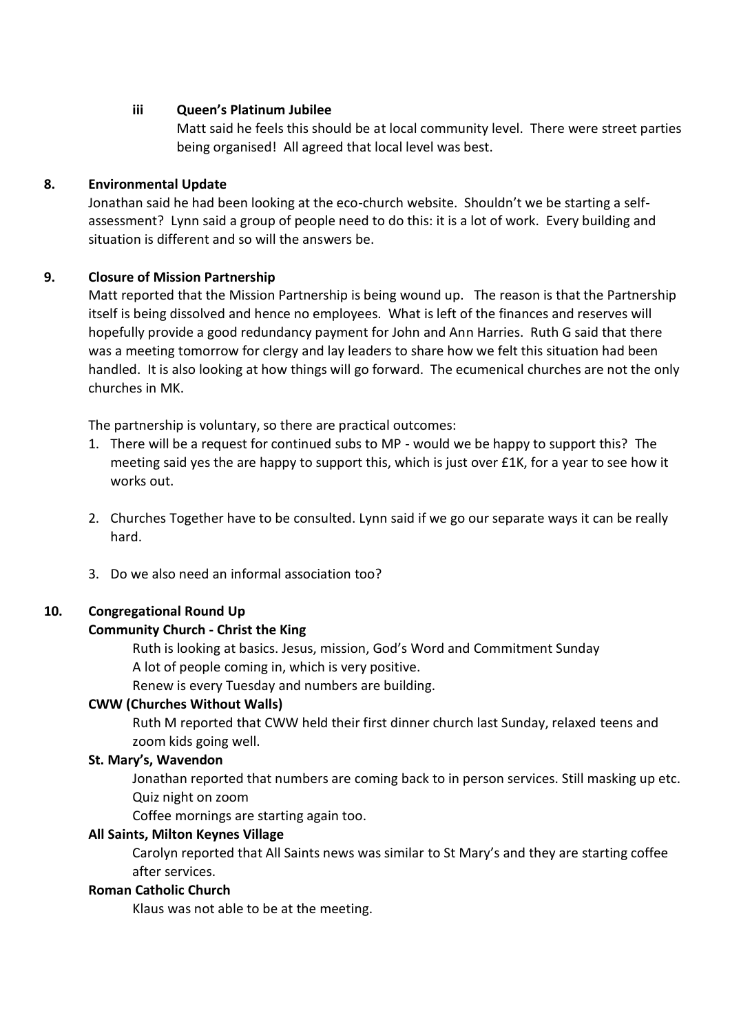#### **iii Queen's Platinum Jubilee**

Matt said he feels this should be at local community level. There were street parties being organised! All agreed that local level was best.

## **8. Environmental Update**

Jonathan said he had been looking at the eco-church website. Shouldn't we be starting a selfassessment? Lynn said a group of people need to do this: it is a lot of work. Every building and situation is different and so will the answers be.

## **9. Closure of Mission Partnership**

Matt reported that the Mission Partnership is being wound up. The reason is that the Partnership itself is being dissolved and hence no employees. What is left of the finances and reserves will hopefully provide a good redundancy payment for John and Ann Harries. Ruth G said that there was a meeting tomorrow for clergy and lay leaders to share how we felt this situation had been handled. It is also looking at how things will go forward. The ecumenical churches are not the only churches in MK.

The partnership is voluntary, so there are practical outcomes:

- 1. There will be a request for continued subs to MP would we be happy to support this? The meeting said yes the are happy to support this, which is just over £1K, for a year to see how it works out.
- 2. Churches Together have to be consulted. Lynn said if we go our separate ways it can be really hard.
- 3. Do we also need an informal association too?

# **10. Congregational Round Up**

#### **Community Church - Christ the King**

Ruth is looking at basics. Jesus, mission, God's Word and Commitment Sunday A lot of people coming in, which is very positive.

Renew is every Tuesday and numbers are building.

# **CWW (Churches Without Walls)**

Ruth M reported that CWW held their first dinner church last Sunday, relaxed teens and zoom kids going well.

#### **St. Mary's, Wavendon**

Jonathan reported that numbers are coming back to in person services. Still masking up etc. Quiz night on zoom

Coffee mornings are starting again too.

#### **All Saints, Milton Keynes Village**

Carolyn reported that All Saints news was similar to St Mary's and they are starting coffee after services.

#### **Roman Catholic Church**

Klaus was not able to be at the meeting.